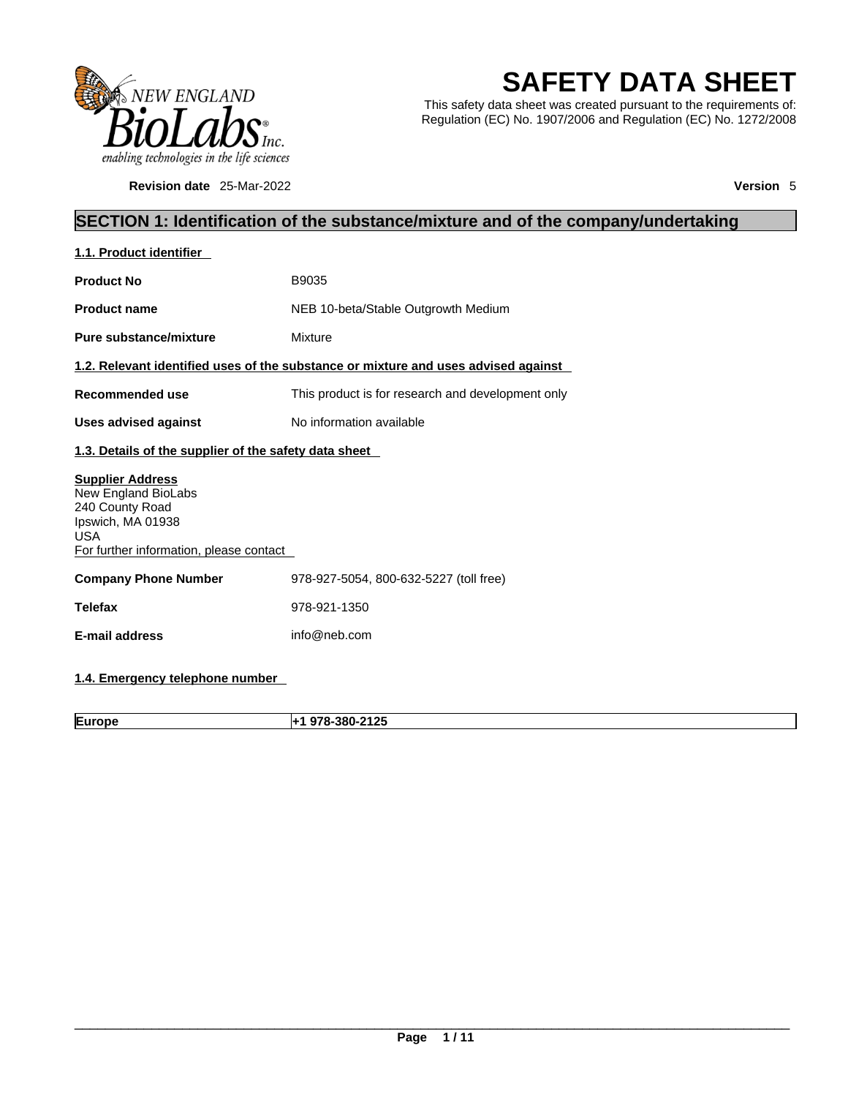

**Revision date** 25-Mar-2022 **Version** 5

# **SAFETY DATA SHEET**

This safety data sheet was created pursuant to the requirements of: Regulation (EC) No. 1907/2006 and Regulation (EC) No. 1272/2008

## **SECTION 1: Identification of the substance/mixture and of the company/undertaking**

| 1.1. Product identifier                                                                                                                         |                                                                                    |
|-------------------------------------------------------------------------------------------------------------------------------------------------|------------------------------------------------------------------------------------|
| <b>Product No</b>                                                                                                                               | B9035                                                                              |
| <b>Product name</b>                                                                                                                             | NEB 10-beta/Stable Outgrowth Medium                                                |
| Pure substance/mixture                                                                                                                          | Mixture                                                                            |
|                                                                                                                                                 | 1.2. Relevant identified uses of the substance or mixture and uses advised against |
| Recommended use                                                                                                                                 | This product is for research and development only                                  |
| <b>Uses advised against</b>                                                                                                                     | No information available                                                           |
| 1.3. Details of the supplier of the safety data sheet                                                                                           |                                                                                    |
| <b>Supplier Address</b><br>New England BioLabs<br>240 County Road<br>Ipswich, MA 01938<br><b>USA</b><br>For further information, please contact |                                                                                    |
| <b>Company Phone Number</b>                                                                                                                     | 978-927-5054, 800-632-5227 (toll free)                                             |
| <b>Telefax</b>                                                                                                                                  | 978-921-1350                                                                       |
| E-mail address                                                                                                                                  | info@neb.com                                                                       |
|                                                                                                                                                 |                                                                                    |

## **1.4. Emergency telephone number**

**Europe +1 978-380-2125**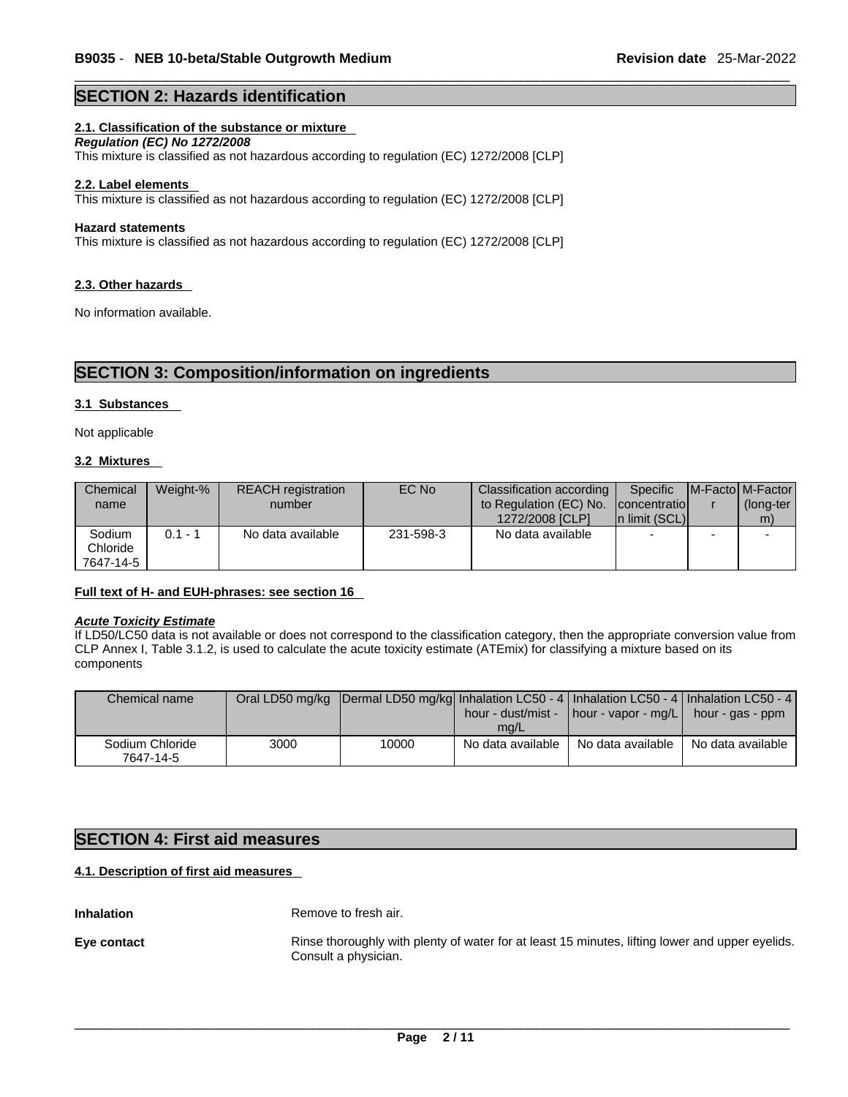### **SECTION 2: Hazards identification**

#### **2.1. Classification of the substance or mixture**

*Regulation (EC) No 1272/2008* 

This mixture is classified as not hazardous according to regulation (EC) 1272/2008 [CLP]

#### **2.2. Label elements**

This mixture is classified as not hazardous according to regulation (EC) 1272/2008 [CLP]

#### **Hazard statements**

This mixture is classified as not hazardous according to regulation (EC) 1272/2008 [CLP]

#### **2.3. Other hazards**

No information available.

## **SECTION 3: Composition/information on ingredients**

#### **3.1 Substances**

Not applicable

#### **3.2 Mixtures**

| Chemical<br>name                | Weight-% | <b>REACH</b> registration<br>number | EC No     | Classification according  <br>to Regulation (EC) No.<br>1272/2008 [CLP] | Specific<br><b>Iconcentratiol</b><br>In limit (SCL) | <b>IM-Factol M-Factor</b><br>(long-ter<br>m) |
|---------------------------------|----------|-------------------------------------|-----------|-------------------------------------------------------------------------|-----------------------------------------------------|----------------------------------------------|
| Sodium<br>Chloride<br>7647-14-5 | 0.1 - 1  | No data available                   | 231-598-3 | No data available                                                       | $\overline{\phantom{0}}$                            |                                              |

#### **Full text of H- and EUH-phrases: see section 16**

#### *Acute Toxicity Estimate*

If LD50/LC50 data is not available or does not correspond to the classification category, then the appropriate conversion value from CLP Annex I, Table 3.1.2, is used to calculate the acute toxicity estimate (ATEmix) for classifying a mixture based on its components

| Chemical name                |      | Oral LD50 mg/kg  Dermal LD50 mg/kg  Inhalation LC50 - 4   Inhalation LC50 - 4   Inhalation LC50 - 4 | mq/L              | hour - dust/mist - $\vert$ hour - vapor - mg/L | hour - gas - ppm  |
|------------------------------|------|-----------------------------------------------------------------------------------------------------|-------------------|------------------------------------------------|-------------------|
| Sodium Chloride<br>7647-14-5 | 3000 | 10000                                                                                               | No data available | No data available                              | No data available |

## **SECTION 4: First aid measures**

#### **4.1. Description of first aid measures**

**Inhalation** Remove to fresh air. **Eye contact Rinse thoroughly with plenty of water for at least 15 minutes, lifting lower and upper eyelids.** Consult a physician.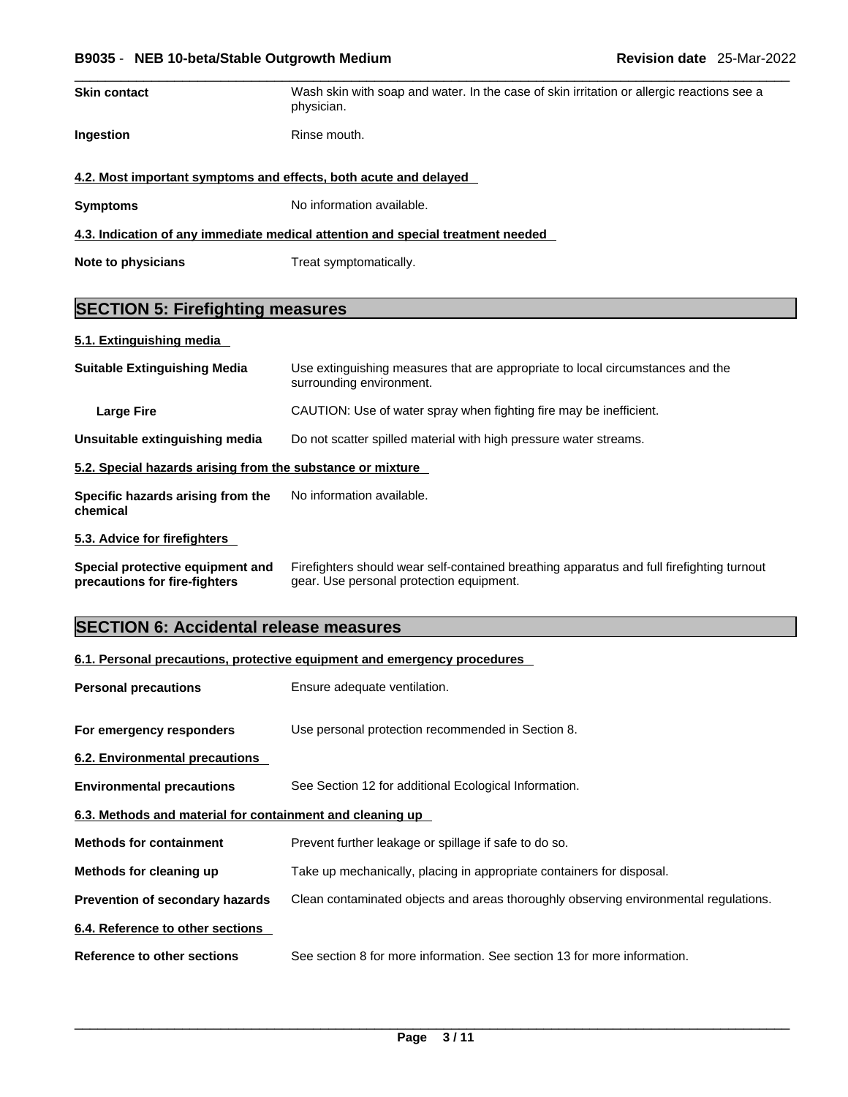#### \_\_\_\_\_\_\_\_\_\_\_\_\_\_\_\_\_\_\_\_\_\_\_\_\_\_\_\_\_\_\_\_\_\_\_\_\_\_\_\_\_\_\_\_\_\_\_\_\_\_\_\_\_\_\_\_\_\_\_\_\_\_\_\_\_\_\_\_\_\_\_\_\_\_\_\_\_\_\_\_\_\_\_\_\_\_\_\_\_\_\_\_\_ **B9035** - **NEB 10-beta/Stable Outgrowth Medium Revision date** 25-Mar-2022

| <b>Skin contact</b> | Wash skin with soap and water. In the case of skin irritation or allergic reactions see a<br>physician. |
|---------------------|---------------------------------------------------------------------------------------------------------|
| <b>Ingestion</b>    | Rinse mouth.                                                                                            |
|                     | 4.2. Most important symptoms and effects, both acute and delayed                                        |
| <b>Symptoms</b>     | No information available.                                                                               |
|                     | 4.3. Indication of any immediate medical attention and special treatment needed                         |

**Note to physicians** Treat symptomatically.

## **SECTION 5: Firefighting measures**

**5.1. Extinguishing media** 

| <b>Suitable Extinguishing Media</b>                        | Use extinguishing measures that are appropriate to local circumstances and the<br>surrounding environment. |
|------------------------------------------------------------|------------------------------------------------------------------------------------------------------------|
| Large Fire                                                 | CAUTION: Use of water spray when fighting fire may be inefficient.                                         |
| Unsuitable extinguishing media                             | Do not scatter spilled material with high pressure water streams.                                          |
| 5.2. Special hazards arising from the substance or mixture |                                                                                                            |
| Specific hazards arising from the<br>chemical              | No information available.                                                                                  |

#### **5.3. Advice for firefighters**

**Special protective equipment and precautions for fire-fighters** Firefighters should wear self-contained breathing apparatus and full firefighting turnout gear. Use personal protection equipment.

## **SECTION 6: Accidental release measures**

|                                                           | 6.1. Personal precautions, protective equipment and emergency procedures             |
|-----------------------------------------------------------|--------------------------------------------------------------------------------------|
| <b>Personal precautions</b>                               | Ensure adequate ventilation.                                                         |
| For emergency responders                                  | Use personal protection recommended in Section 8.                                    |
| 6.2. Environmental precautions                            |                                                                                      |
| <b>Environmental precautions</b>                          | See Section 12 for additional Ecological Information.                                |
| 6.3. Methods and material for containment and cleaning up |                                                                                      |
| <b>Methods for containment</b>                            | Prevent further leakage or spillage if safe to do so.                                |
| Methods for cleaning up                                   | Take up mechanically, placing in appropriate containers for disposal.                |
| Prevention of secondary hazards                           | Clean contaminated objects and areas thoroughly observing environmental regulations. |
| 6.4. Reference to other sections                          |                                                                                      |
| Reference to other sections                               | See section 8 for more information. See section 13 for more information.             |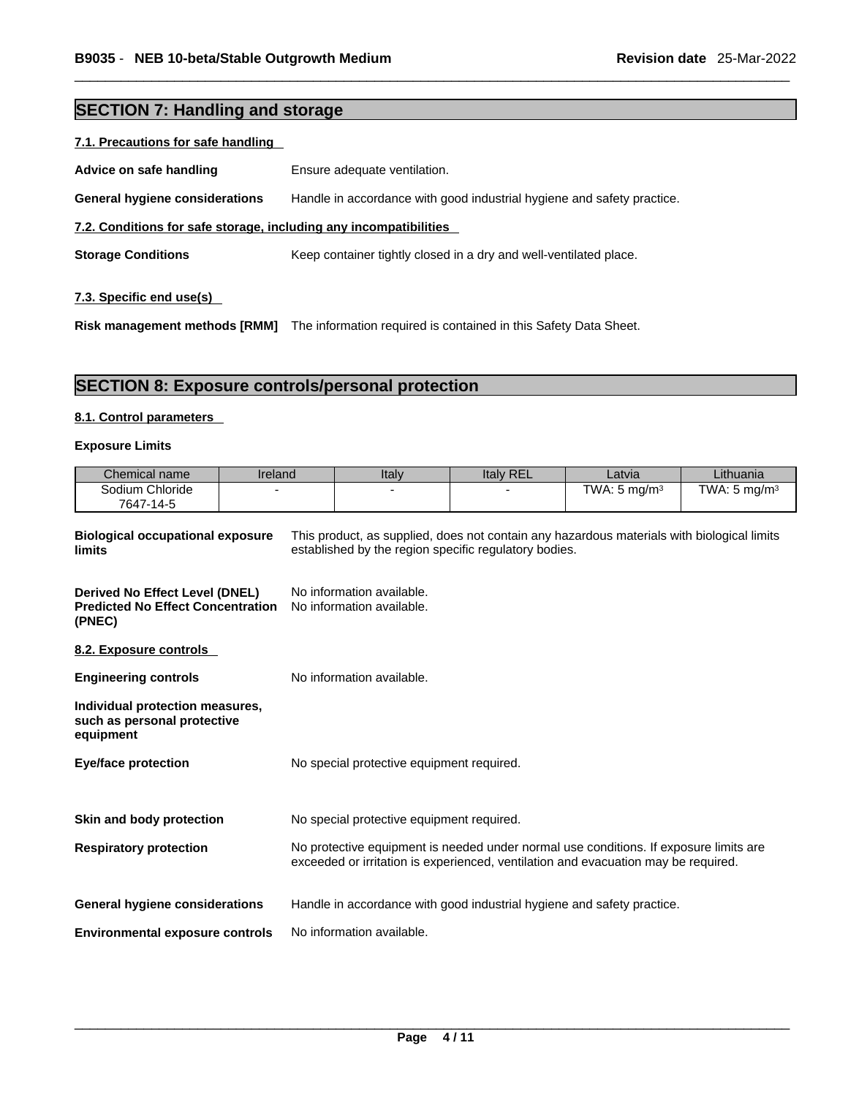## **SECTION 7: Handling and storage**

| 7.1. Precautions for safe handling                                |                                                                        |
|-------------------------------------------------------------------|------------------------------------------------------------------------|
| Advice on safe handling                                           | Ensure adequate ventilation.                                           |
| General hygiene considerations                                    | Handle in accordance with good industrial hygiene and safety practice. |
| 7.2. Conditions for safe storage, including any incompatibilities |                                                                        |
| <b>Storage Conditions</b>                                         | Keep container tightly closed in a dry and well-ventilated place.      |
|                                                                   |                                                                        |

## **7.3. Specific end use(s)**

**Risk management methods [RMM]** The information required is contained in this Safety Data Sheet.

## **SECTION 8: Exposure controls/personal protection**

#### **8.1. Control parameters**

#### **Exposure Limits**

| Chemical name                | ireland | Italy | <b>Italy REL</b> | Latvia                  | Lithuania               |
|------------------------------|---------|-------|------------------|-------------------------|-------------------------|
| Sodium Chloride<br>7647-14-5 |         |       |                  | TWA: $5 \text{ ma/m}^3$ | TWA: $5 \text{ ma/m}^3$ |

| <b>Biological occupational exposure</b><br>limits                                    | This product, as supplied, does not contain any hazardous materials with biological limits<br>established by the region specific regulatory bodies.                         |
|--------------------------------------------------------------------------------------|-----------------------------------------------------------------------------------------------------------------------------------------------------------------------------|
| Derived No Effect Level (DNEL)<br><b>Predicted No Effect Concentration</b><br>(PNEC) | No information available.<br>No information available.                                                                                                                      |
| 8.2. Exposure controls                                                               |                                                                                                                                                                             |
| <b>Engineering controls</b>                                                          | No information available.                                                                                                                                                   |
| Individual protection measures,<br>such as personal protective<br>equipment          |                                                                                                                                                                             |
| <b>Eye/face protection</b>                                                           | No special protective equipment required.                                                                                                                                   |
| Skin and body protection                                                             | No special protective equipment required.                                                                                                                                   |
| <b>Respiratory protection</b>                                                        | No protective equipment is needed under normal use conditions. If exposure limits are<br>exceeded or irritation is experienced, ventilation and evacuation may be required. |
| General hygiene considerations                                                       | Handle in accordance with good industrial hygiene and safety practice.                                                                                                      |
| <b>Environmental exposure controls</b>                                               | No information available.                                                                                                                                                   |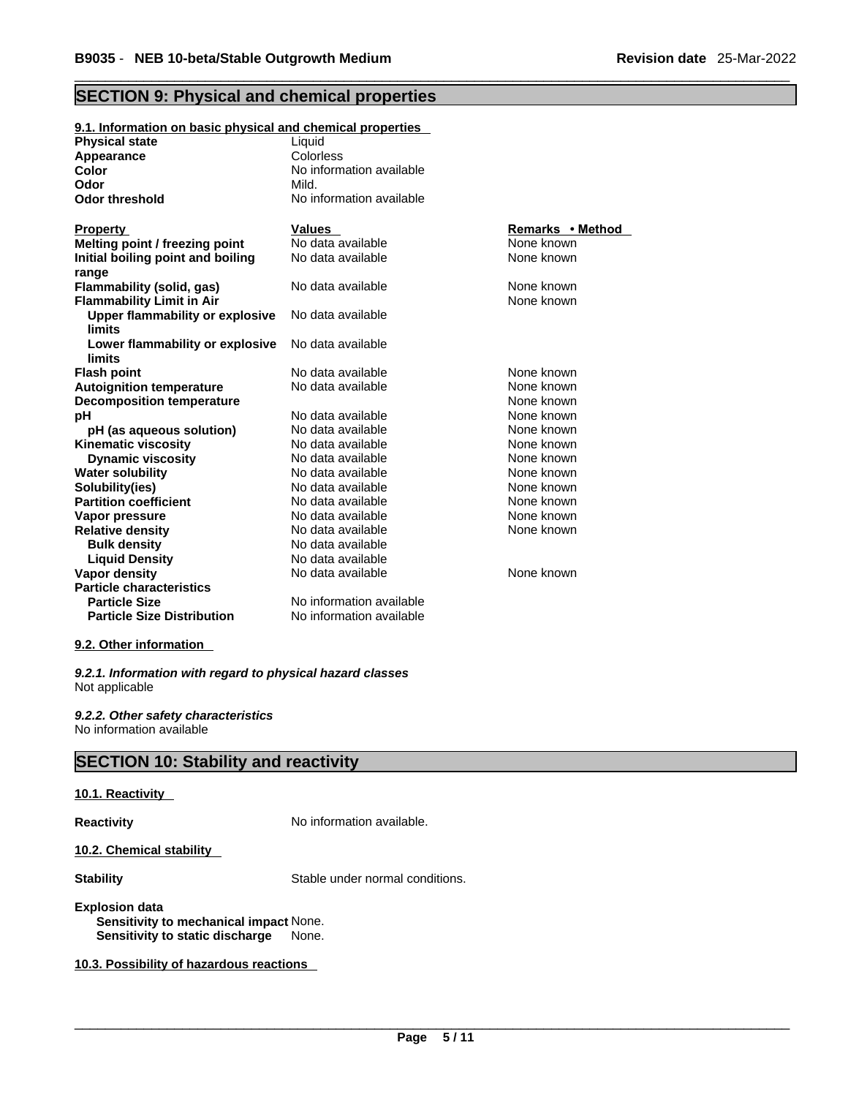## **SECTION 9: Physical and chemical properties**

| 9.1. Information on basic physical and chemical properties    |                                    |                                |
|---------------------------------------------------------------|------------------------------------|--------------------------------|
| <b>Physical state</b>                                         | Liquid                             |                                |
| Appearance                                                    | Colorless                          |                                |
| <b>Color</b>                                                  | No information available           |                                |
| Odor                                                          | Mild.                              |                                |
| <b>Odor threshold</b>                                         | No information available           |                                |
|                                                               |                                    |                                |
| <b>Property</b>                                               | <b>Values</b><br>No data available | Remarks • Method<br>None known |
| Melting point / freezing point                                | No data available                  | None known                     |
| Initial boiling point and boiling                             |                                    |                                |
| range                                                         | No data available                  | None known                     |
| Flammability (solid, gas)<br><b>Flammability Limit in Air</b> |                                    | None known                     |
|                                                               | No data available                  |                                |
| Upper flammability or explosive<br>limits                     |                                    |                                |
| Lower flammability or explosive                               | No data available                  |                                |
| limits                                                        |                                    |                                |
| <b>Flash point</b>                                            | No data available                  | None known                     |
| <b>Autoignition temperature</b>                               | No data available                  | None known                     |
| <b>Decomposition temperature</b>                              |                                    | None known                     |
| pH                                                            | No data available                  | None known                     |
| pH (as aqueous solution)                                      | No data available                  | None known                     |
| <b>Kinematic viscosity</b>                                    | No data available                  | None known                     |
| <b>Dynamic viscosity</b>                                      | No data available                  | None known                     |
| <b>Water solubility</b>                                       | No data available                  | None known                     |
| Solubility(ies)                                               | No data available                  | None known                     |
| <b>Partition coefficient</b>                                  | No data available                  | None known                     |
| Vapor pressure                                                | No data available                  | None known                     |
| <b>Relative density</b>                                       | No data available                  | None known                     |
| <b>Bulk density</b>                                           | No data available                  |                                |
| <b>Liquid Density</b>                                         | No data available                  |                                |
| <b>Vapor density</b>                                          | No data available                  | None known                     |
| <b>Particle characteristics</b>                               |                                    |                                |
| <b>Particle Size</b>                                          | No information available           |                                |
| <b>Particle Size Distribution</b>                             | No information available           |                                |

#### **9.2. Other information**

*9.2.1. Information with regard to physical hazard classes* Not applicable

*9.2.2. Other safety characteristics* No information available

## **SECTION 10: Stability and reactivity**

#### **10.1. Reactivity**

**Reactivity No information available.** 

#### **10.2. Chemical stability**

**Stability** Stable under normal conditions.

#### **Explosion data Sensitivity to mechanical impact** None. **Sensitivity to static discharge** None.

**10.3. Possibility of hazardous reactions**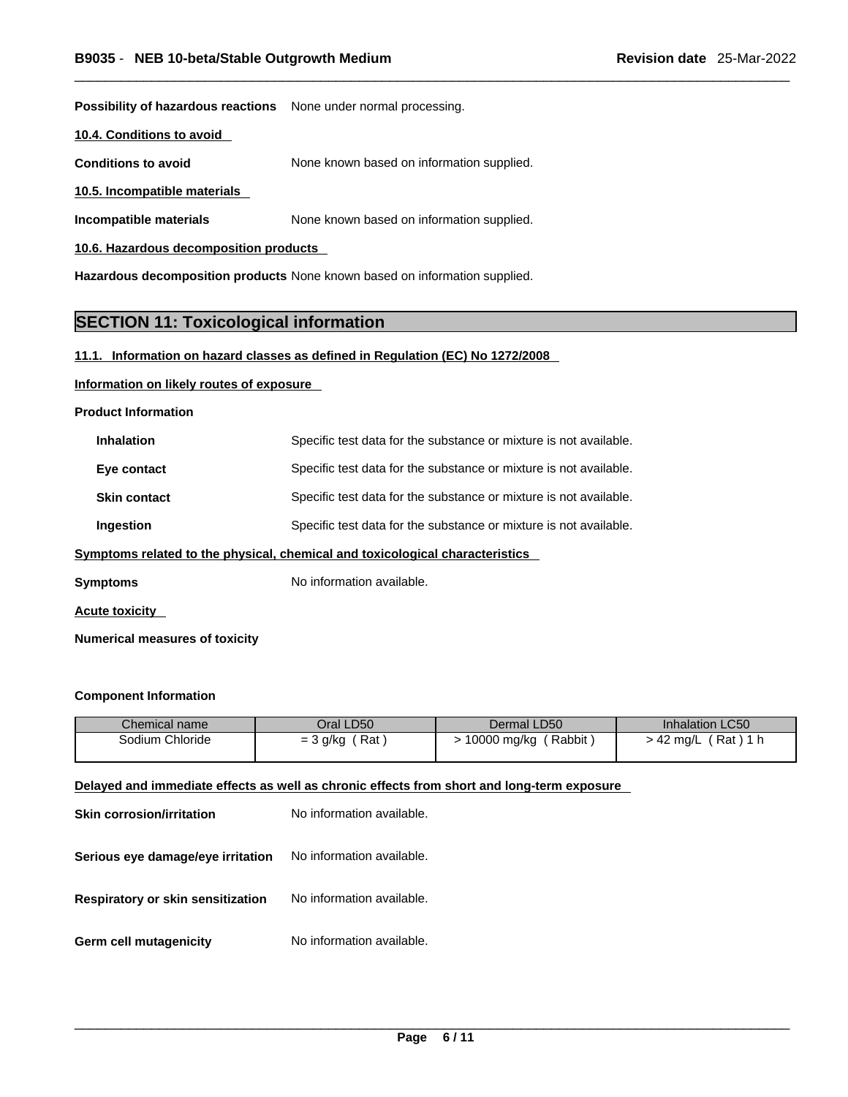**Possibility of hazardous reactions** None under normal processing.

**10.4. Conditions to avoid** 

**Conditions to avoid** None known based on information supplied.

**10.5. Incompatible materials**

**Incompatible materials** None known based on information supplied.

**10.6. Hazardous decomposition products** 

**Hazardous decomposition products** None known based on information supplied.

## **SECTION 11: Toxicological information**

#### **11.1. Information on hazard classes as defined in Regulation (EC) No 1272/2008**

#### **Information on likely routes of exposure**

**Product Information**

| <b>Inhalation</b>   | Specific test data for the substance or mixture is not available.            |
|---------------------|------------------------------------------------------------------------------|
| Eye contact         | Specific test data for the substance or mixture is not available.            |
| <b>Skin contact</b> | Specific test data for the substance or mixture is not available.            |
| Ingestion           | Specific test data for the substance or mixture is not available.            |
|                     | Symptoms related to the physical, chemical and toxicological characteristics |

**Symptoms** No information available.

**Acute toxicity** 

**Numerical measures of toxicity**

#### **Component Information**

| Chemical name   | Oral LD50         | Dermal LD50           | <b>Inhalation LC50</b> |
|-----------------|-------------------|-----------------------|------------------------|
| Sodium Chloride | Rat<br>$=$ 3 g/kg | Rabbit<br>10000 mg/kg | (Rat)1 h<br>⋅ 42 mg/L  |
|                 |                   |                       |                        |

#### **Delayed and immediate effects as well as chronic effects from short and long-term exposure**

| <b>Skin corrosion/irritation</b>         | No information available. |
|------------------------------------------|---------------------------|
| Serious eye damage/eye irritation        | No information available. |
| <b>Respiratory or skin sensitization</b> | No information available. |
| Germ cell mutagenicity                   | No information available. |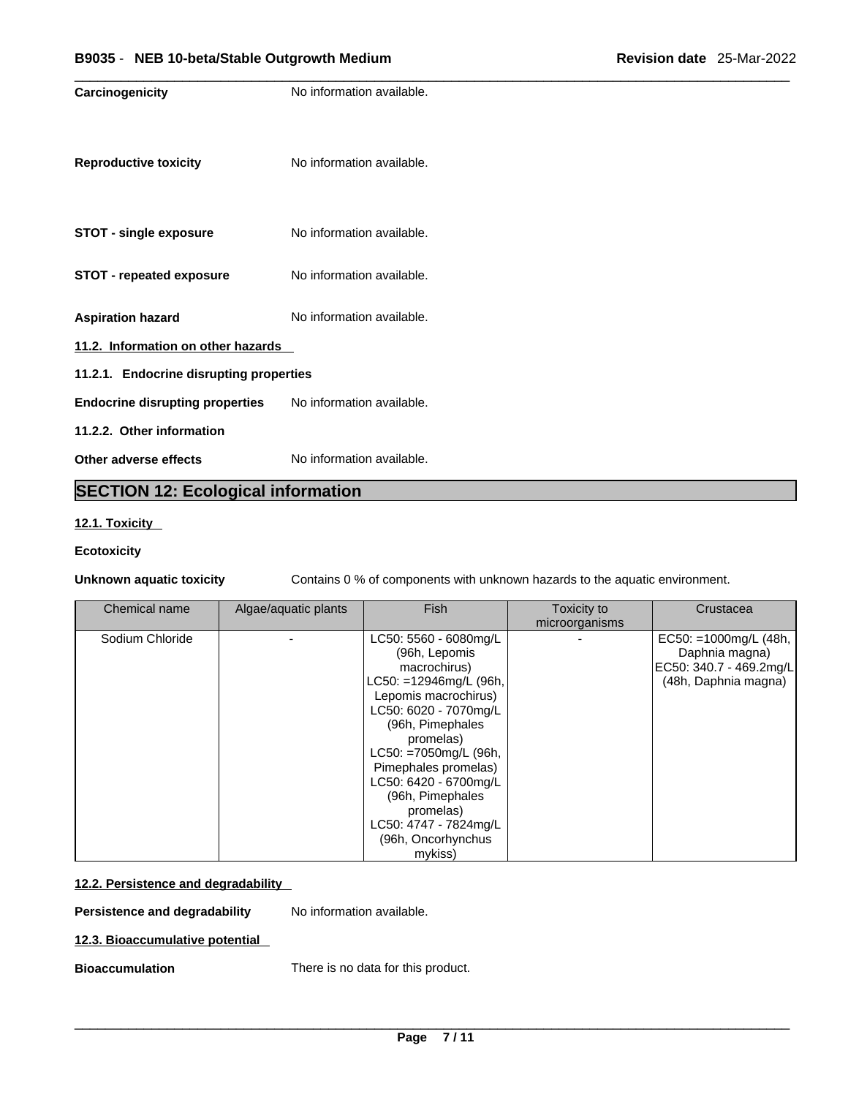| Carcinogenicity                         | No information available. |
|-----------------------------------------|---------------------------|
| <b>Reproductive toxicity</b>            | No information available. |
| <b>STOT - single exposure</b>           | No information available. |
| <b>STOT - repeated exposure</b>         | No information available. |
| <b>Aspiration hazard</b>                | No information available. |
| 11.2. Information on other hazards      |                           |
| 11.2.1. Endocrine disrupting properties |                           |
| <b>Endocrine disrupting properties</b>  | No information available. |
| 11.2.2. Other information               |                           |
| Other adverse effects                   | No information available. |

## **SECTION 12: Ecological information**

#### **12.1. Toxicity**

#### **Ecotoxicity**

**Unknown aquatic toxicity** Contains 0 % of components with unknown hazards to the aquatic environment.

| Chemical name   | Algae/aquatic plants | <b>Fish</b>               | Toxicity to    | Crustacea                |
|-----------------|----------------------|---------------------------|----------------|--------------------------|
|                 |                      |                           | microorganisms |                          |
| Sodium Chloride |                      | LC50: 5560 - 6080mg/L     |                | EC50: $=1000$ mg/L (48h, |
|                 |                      | (96h, Lepomis             |                | Daphnia magna)           |
|                 |                      | macrochirus)              |                | EC50: 340.7 - 469.2mg/L  |
|                 |                      | $LC50: = 12946mg/L$ (96h, |                | (48h, Daphnia magna)     |
|                 |                      | Lepomis macrochirus)      |                |                          |
|                 |                      | LC50: 6020 - 7070mg/L     |                |                          |
|                 |                      | (96h, Pimephales          |                |                          |
|                 |                      | promelas)                 |                |                          |
|                 |                      | LC50: =7050mg/L (96h,     |                |                          |
|                 |                      | Pimephales promelas)      |                |                          |
|                 |                      | LC50: 6420 - 6700mg/L     |                |                          |
|                 |                      | (96h, Pimephales          |                |                          |
|                 |                      | promelas)                 |                |                          |
|                 |                      | LC50: 4747 - 7824mg/L     |                |                          |
|                 |                      | (96h, Oncorhynchus        |                |                          |
|                 |                      | mykiss)                   |                |                          |

### **12.2. Persistence and degradability**

**Persistence and degradability** No information available.

#### **12.3. Bioaccumulative potential**

**Bioaccumulation** There is no data for this product.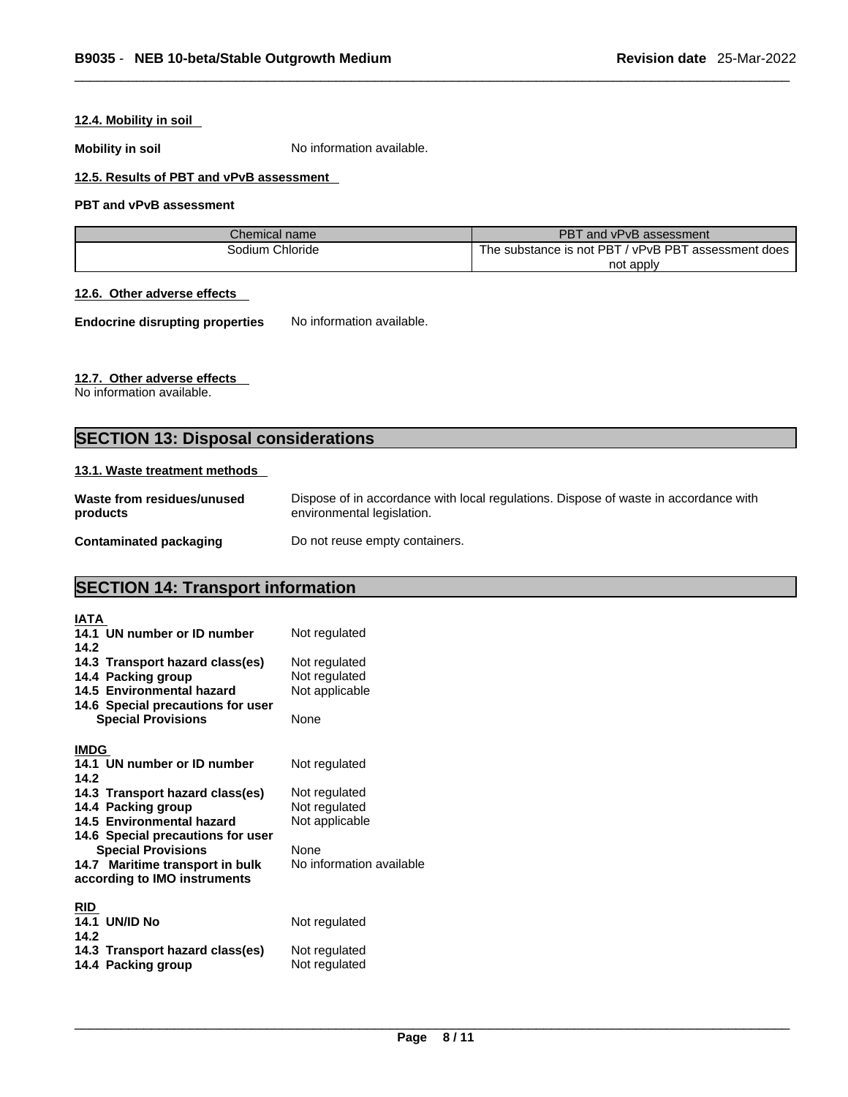#### **12.4. Mobility in soil**

**Mobility in soil** No information available.

#### **12.5. Results of PBT and vPvB assessment**

#### **PBT and vPvB assessment**

| Chemical name   | PBT and vPvB assessment                             |
|-----------------|-----------------------------------------------------|
| Sodium Chloride | The substance is not PBT / vPvB PBT assessment does |
|                 | not apply                                           |

#### **12.6. Other adverse effects**

**Endocrine disrupting properties** No information available.

#### **12.7. Other adverse effects**

No information available.

## **SECTION 13: Disposal considerations**

#### **13.1. Waste treatment methods**

| Waste from residues/unused    | Dispose of in accordance with local regulations. Dispose of waste in accordance with |
|-------------------------------|--------------------------------------------------------------------------------------|
| products                      | environmental legislation.                                                           |
| <b>Contaminated packaging</b> | Do not reuse empty containers.                                                       |

## **SECTION 14: Transport information**

| IATA                              |                          |
|-----------------------------------|--------------------------|
| 14.1 UN number or ID number       | Not regulated            |
| 14.2                              |                          |
| 14.3 Transport hazard class(es)   | Not regulated            |
| 14.4 Packing group                | Not regulated            |
| 14.5 Environmental hazard         | Not applicable           |
| 14.6 Special precautions for user |                          |
| <b>Special Provisions</b>         | None                     |
|                                   |                          |
| <b>IMDG</b>                       |                          |
| 14.1 UN number or ID number       | Not regulated            |
| 14.2                              |                          |
| 14.3 Transport hazard class(es)   | Not regulated            |
| 14.4 Packing group                | Not regulated            |
| 14.5 Environmental hazard         | Not applicable           |
| 14.6 Special precautions for user |                          |
| <b>Special Provisions</b>         | None                     |
| 14.7 Maritime transport in bulk   | No information available |
| according to IMO instruments      |                          |
|                                   |                          |
| <b>RID</b>                        |                          |
| <b>14.1 UN/ID No</b>              | Not regulated            |
| 14.2                              |                          |
| 14.3 Transport hazard class(es)   | Not regulated            |
| 14.4 Packing group                | Not regulated            |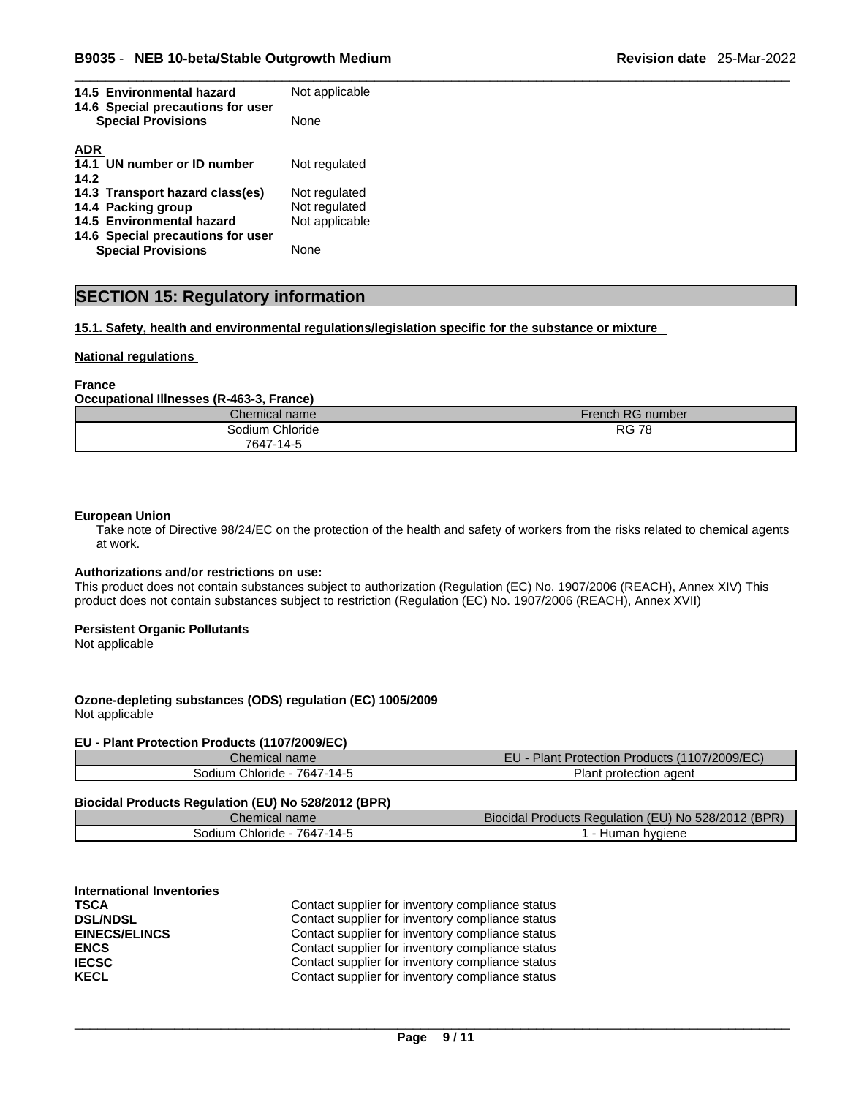| 14.5 Environmental hazard<br>14.6 Special precautions for user<br><b>Special Provisions</b> | Not applicable |  |
|---------------------------------------------------------------------------------------------|----------------|--|
|                                                                                             | None           |  |
| <b>ADR</b>                                                                                  |                |  |
| 14.1 UN number or ID number                                                                 | Not regulated  |  |
| 14.2                                                                                        |                |  |
| 14.3 Transport hazard class(es)                                                             | Not regulated  |  |
| 14.4 Packing group                                                                          | Not regulated  |  |
| 14.5 Environmental hazard                                                                   | Not applicable |  |
| 14.6 Special precautions for user                                                           |                |  |
| <b>Special Provisions</b>                                                                   | None           |  |

## **SECTION 15: Regulatory information**

**15.1. Safety, health and environmental regulations/legislation specific for the substance or mixture**

#### **National regulations**

#### **France**

**Occupational Illnesses (R-463-3, France)**

| Chemical name      | French RG number |
|--------------------|------------------|
| Chloride<br>odium. | <b>RG 78</b>     |
| 7647-14-5          |                  |

#### **European Union**

Take note of Directive 98/24/EC on the protection of the health and safety of workers from the risks related to chemical agents at work.

#### **Authorizations and/or restrictions on use:**

This product does not contain substances subject to authorization (Regulation (EC) No. 1907/2006 (REACH), Annex XIV) This product does not contain substances subject to restriction (Regulation (EC) No. 1907/2006 (REACH), Annex XVII)

#### **Persistent Organic Pollutants**

Not applicable

#### **Ozone-depleting substances (ODS) regulation (EC) 1005/2009**

Not applicable

#### **EU - Plant Protection Products (1107/2009/EC)**

| Chemical<br>name                      | (1107/2009/EC)<br>гι.<br>Plan<br><b>Protection Products</b><br>-u |
|---------------------------------------|-------------------------------------------------------------------|
| 7647-<br>$-14-$<br>Chloride<br>sodium | protection agent<br>Ίanτ                                          |

#### **Biocidal Products Regulation (EU) No 528/2012 (BPR)**

| Chemical name                  | 528/2012<br>(BPR)<br>- -<br>oducts P<br>150A<br>3100<br>Requiation<br>⊿dal™<br>. JI NO<br>/N/ |
|--------------------------------|-----------------------------------------------------------------------------------------------|
| 7647-14-<br>Sodium<br>Chloride | hvaiene<br>$\sim$<br>на<br>                                                                   |

| <b>International Inventories</b> |                |
|----------------------------------|----------------|
| <b>TSCA</b>                      | Contact suppli |
| <b>DSL/NDSL</b>                  | Contact suppli |
| <b>EINECS/ELINCS</b>             | Contact suppli |
| <b>ENCS</b>                      | Contact suppli |
| <b>IECSC</b>                     | Contact suppli |
| <b>KECL</b>                      | Contact suppli |
|                                  |                |

**The right** for inventory compliance status *Ber* for inventory compliance status **EING:** Findentory compliance status **Exagger for inventory compliance status IECC** for inventory compliance status **Kecler for inventory compliance status**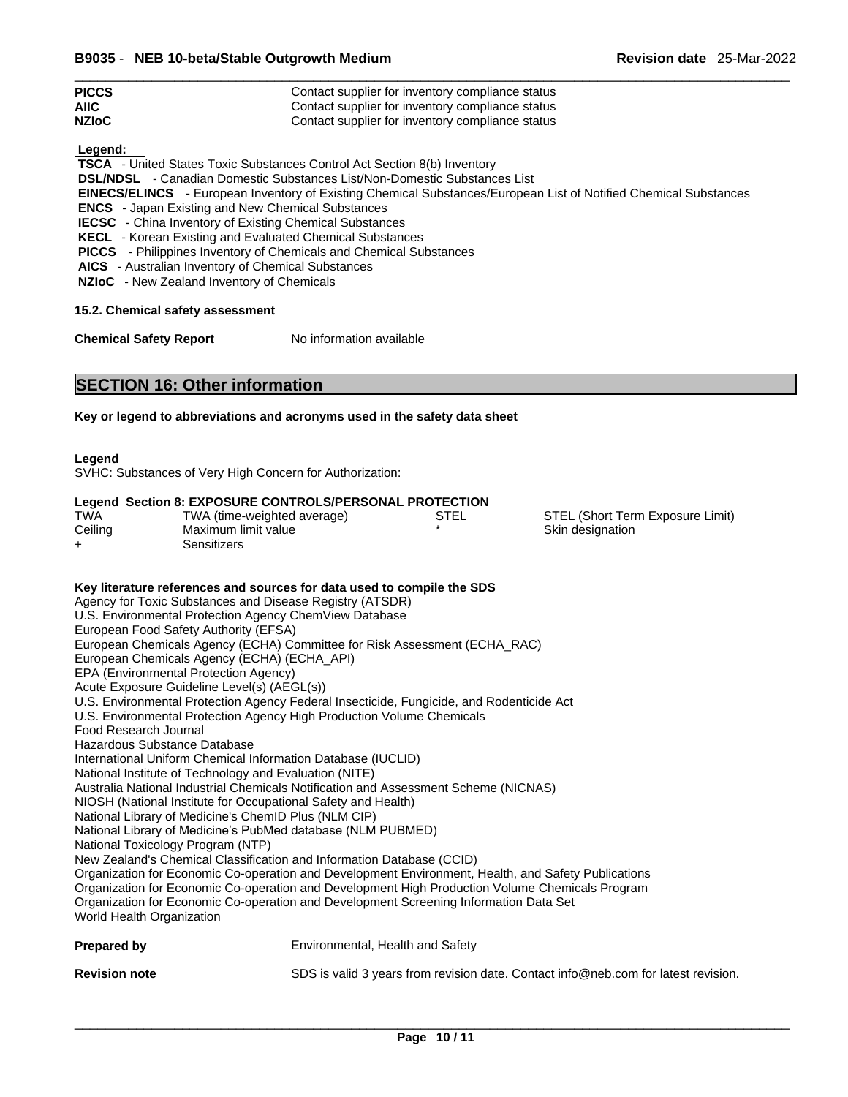| <b>Revision date</b> 25-Mar-2022 |  |
|----------------------------------|--|
|----------------------------------|--|

| <b>PICCS</b> | Contact supplier for inventory compliance status |
|--------------|--------------------------------------------------|
| <b>AIIC</b>  | Contact supplier for inventory compliance status |
| <b>NZIoC</b> | Contact supplier for inventory compliance status |

 **Legend:** 

 **TSCA** - United States Toxic Substances Control Act Section 8(b) Inventory

 **DSL/NDSL** - Canadian Domestic Substances List/Non-Domestic Substances List

 **EINECS/ELINCS** - European Inventory of Existing Chemical Substances/European List of Notified Chemical Substances

 **ENCS** - Japan Existing and New Chemical Substances

 **IECSC** - China Inventory of Existing Chemical Substances

 **KECL** - Korean Existing and Evaluated Chemical Substances

 **PICCS** - Philippines Inventory of Chemicals and Chemical Substances

 **AICS** - Australian Inventory of Chemical Substances

 **NZIoC** - New Zealand Inventory of Chemicals

**15.2. Chemical safety assessment**

**Chemical Safety Report** No information available

## **SECTION 16: Other information**

**Key or legend to abbreviations and acronyms used in the safety data sheet**

**Legend** 

SVHC: Substances of Very High Concern for Authorization:

#### **Legend Section 8: EXPOSURE CONTROLS/PERSONAL PROTECTION**

| <b>TWA</b> | TWA (time-weighted average) | STEL |
|------------|-----------------------------|------|
| Ceiling    | Maximum limit value         |      |
| $\div$     | Sensitizers                 |      |

STEL (Short Term Exposure Limit) Skin designation

#### **Key literature references and sources for data used to compile the SDS**

Agency for Toxic Substances and Disease Registry (ATSDR) U.S. Environmental Protection Agency ChemView Database European Food Safety Authority (EFSA) European Chemicals Agency (ECHA) Committee for Risk Assessment (ECHA\_RAC) European Chemicals Agency (ECHA) (ECHA\_API) EPA (Environmental Protection Agency) Acute Exposure Guideline Level(s) (AEGL(s)) U.S. Environmental Protection Agency Federal Insecticide, Fungicide, and Rodenticide Act U.S. Environmental Protection Agency High Production Volume Chemicals Food Research Journal Hazardous Substance Database International Uniform Chemical Information Database (IUCLID) National Institute of Technology and Evaluation (NITE) Australia National Industrial Chemicals Notification and Assessment Scheme (NICNAS) NIOSH (National Institute for Occupational Safety and Health) National Library of Medicine's ChemID Plus (NLM CIP) National Library of Medicine's PubMed database (NLM PUBMED) National Toxicology Program (NTP) New Zealand's Chemical Classification and Information Database (CCID) Organization for Economic Co-operation and Development Environment, Health, and Safety Publications Organization for Economic Co-operation and Development High Production Volume Chemicals Program Organization for Economic Co-operation and Development Screening Information Data Set World Health Organization **Prepared by Environmental, Health and Safety** 

**Revision note** SDS is valid 3 years from revision date. Contact info@neb.com for latest revision.